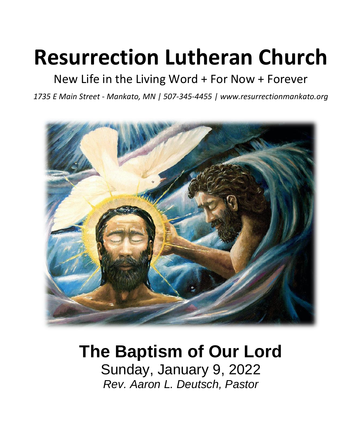# **Resurrection Lutheran Church**

# New Life in the Living Word + For Now + Forever

*1735 E Main Street - Mankato, MN | 507-345-4455 | [www.resurrectionmankato.org](http://www.resurrectionmankato.org/)*



# **The Baptism of Our Lord**

Sunday, January 9, 2022 *Rev. Aaron L. Deutsch, Pastor*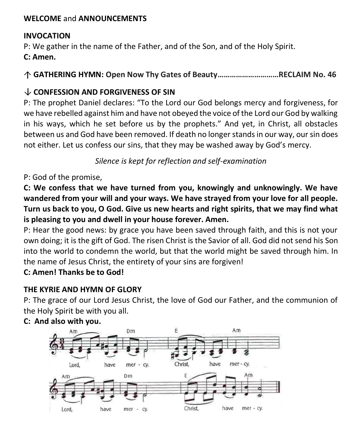#### **WELCOME** and **ANNOUNCEMENTS**

#### **INVOCATION**

P: We gather in the name of the Father, and of the Son, and of the Holy Spirit.

**C: Amen.**

**GATHERING HYMN: Open Now Thy Gates of Beauty…………………………RECLAIM No. 46**

#### **CONFESSION AND FORGIVENESS OF SIN**

P: The prophet Daniel declares: "To the Lord our God belongs mercy and forgiveness, for we have rebelled against him and have not obeyed the voice of the Lord our God by walking in his ways, which he set before us by the prophets." And yet, in Christ, all obstacles between us and God have been removed. If death no longer stands in our way, our sin does not either. Let us confess our sins, that they may be washed away by God's mercy.

*Silence is kept for reflection and self-examination*

P: God of the promise,

**C: We confess that we have turned from you, knowingly and unknowingly. We have wandered from your will and your ways. We have strayed from your love for all people. Turn us back to you, O God. Give us new hearts and right spirits, that we may find what is pleasing to you and dwell in your house forever. Amen.**

P: Hear the good news: by grace you have been saved through faith, and this is not your own doing; it is the gift of God. The risen Christ is the Savior of all. God did not send his Son into the world to condemn the world, but that the world might be saved through him. In the name of Jesus Christ, the entirety of your sins are forgiven!

#### **C: Amen! Thanks be to God!**

#### **THE KYRIE AND HYMN OF GLORY**

P: The grace of our Lord Jesus Christ, the love of God our Father, and the communion of the Holy Spirit be with you all.



#### **C: And also with you.**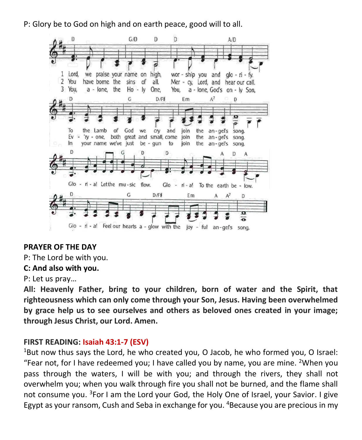P: Glory be to God on high and on earth peace, good will to all.



#### **PRAYER OF THE DAY**

P: The Lord be with you.

#### **C: And also with you.**

P: Let us pray…

**All: Heavenly Father, bring to your children, born of water and the Spirit, that righteousness which can only come through your Son, Jesus. Having been overwhelmed by grace help us to see ourselves and others as beloved ones created in your image; through Jesus Christ, our Lord. Amen.**

#### **FIRST READING: Isaiah 43:1-7 (ESV)**

 $1$ But now thus says the Lord, he who created you, O Jacob, he who formed you, O Israel: "Fear not, for I have redeemed you; I have called you by name, you are mine. <sup>2</sup>When you pass through the waters, I will be with you; and through the rivers, they shall not overwhelm you; when you walk through fire you shall not be burned, and the flame shall not consume you. <sup>3</sup>For I am the Lord your God, the Holy One of Israel, your Savior. I give Egypt as your ransom, Cush and Seba in exchange for you. <sup>4</sup>Because you are precious in my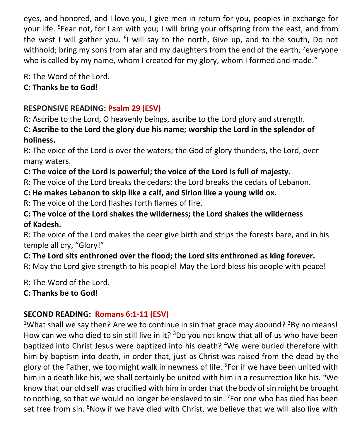eyes, and honored, and I love you, I give men in return for you, peoples in exchange for your life. <sup>5</sup>Fear not, for I am with you; I will bring your offspring from the east, and from the west I will gather you. <sup>6</sup>I will say to the north, Give up, and to the south, Do not withhold; bring my sons from afar and my daughters from the end of the earth, <sup>7</sup>everyone who is called by my name, whom I created for my glory, whom I formed and made."

R: The Word of the Lord.

#### **C: Thanks be to God!**

# **RESPONSIVE READING: Psalm 29 (ESV)**

R: Ascribe to the Lord, O heavenly beings, ascribe to the Lord glory and strength.

**C: Ascribe to the Lord the glory due his name; worship the Lord in the splendor of holiness.**

R: The voice of the Lord is over the waters; the God of glory thunders, the Lord, over many waters.

# **C: The voice of the Lord is powerful; the voice of the Lord is full of majesty.**

R: The voice of the Lord breaks the cedars; the Lord breaks the cedars of Lebanon.

#### **C: He makes Lebanon to skip like a calf, and Sirion like a young wild ox.**

R: The voice of the Lord flashes forth flames of fire.

#### **C: The voice of the Lord shakes the wilderness; the Lord shakes the wilderness of Kadesh.**

R: The voice of the Lord makes the deer give birth and strips the forests bare, and in his temple all cry, "Glory!"

## **C: The Lord sits enthroned over the flood; the Lord sits enthroned as king forever.**

R: May the Lord give strength to his people! May the Lord bless his people with peace!

R: The Word of the Lord.

**C: Thanks be to God!** 

# **SECOND READING: Romans 6:1-11 (ESV)**

<sup>1</sup>What shall we say then? Are we to continue in sin that grace may abound? <sup>2</sup>By no means! How can we who died to sin still live in it?  $3Do$  you not know that all of us who have been baptized into Christ Jesus were baptized into his death? <sup>4</sup>We were buried therefore with him by baptism into death, in order that, just as Christ was raised from the dead by the glory of the Father, we too might walk in newness of life. <sup>5</sup>For if we have been united with him in a death like his, we shall certainly be united with him in a resurrection like his. <sup>6</sup>We know that our old self was crucified with him in order that the body of sin might be brought to nothing, so that we would no longer be enslaved to sin. <sup>7</sup>For one who has died has been set free from sin. <sup>8</sup>Now if we have died with Christ, we believe that we will also live with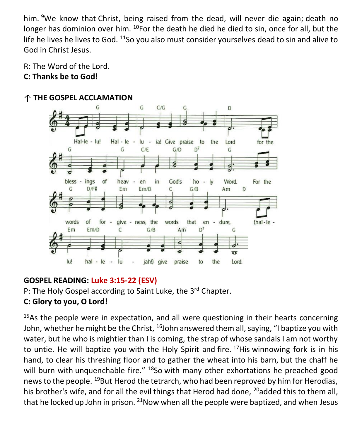him. <sup>9</sup>We know that Christ, being raised from the dead, will never die again; death no longer has dominion over him.  $10$ For the death he died he died to sin, once for all, but the life he lives he lives to God. <sup>11</sup>So you also must consider yourselves dead to sin and alive to God in Christ Jesus.

R: The Word of the Lord.

#### **C: Thanks be to God!**



#### **THE GOSPEL ACCLAMATION**

#### **GOSPEL READING: Luke 3:15-22 (ESV)**

P: The Holy Gospel according to Saint Luke, the 3<sup>rd</sup> Chapter. **C: Glory to you, O Lord!** 

<sup>15</sup>As the people were in expectation, and all were questioning in their hearts concerning John, whether he might be the Christ,  $16$ John answered them all, saying, "I baptize you with water, but he who is mightier than I is coming, the strap of whose sandals I am not worthy to untie. He will baptize you with the Holy Spirit and fire.  $17$ His winnowing fork is in his hand, to clear his threshing floor and to gather the wheat into his barn, but the chaff he will burn with unquenchable fire." <sup>18</sup>So with many other exhortations he preached good news to the people. <sup>19</sup>But Herod the tetrarch, who had been reproved by him for Herodias, his brother's wife, and for all the evil things that Herod had done, <sup>20</sup>added this to them all, that he locked up John in prison.  $21$ Now when all the people were baptized, and when Jesus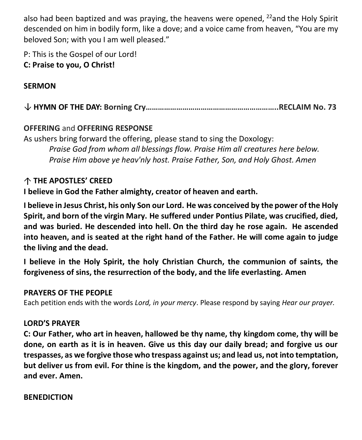also had been baptized and was praying, the heavens were opened,  $^{22}$  and the Holy Spirit descended on him in bodily form, like a dove; and a voice came from heaven, "You are my beloved Son; with you I am well pleased."

P: This is the Gospel of our Lord!

#### **C: Praise to you, O Christ!**

#### **SERMON**

**HYMN OF THE DAY: Borning Cry………………………………………………………..RECLAIM No. 73**

#### **OFFERING** and **OFFERING RESPONSE**

As ushers bring forward the offering, please stand to sing the Doxology: *Praise God from whom all blessings flow. Praise Him all creatures here below. Praise Him above ye heav'nly host. Praise Father, Son, and Holy Ghost. Amen*

### **THE APOSTLES' CREED**

**I believe in God the Father almighty, creator of heaven and earth.**

**I believe in Jesus Christ, his only Son our Lord. He was conceived by the power of the Holy Spirit, and born of the virgin Mary. He suffered under Pontius Pilate, was crucified, died, and was buried. He descended into hell. On the third day he rose again. He ascended into heaven, and is seated at the right hand of the Father. He will come again to judge the living and the dead.**

**I believe in the Holy Spirit, the holy Christian Church, the communion of saints, the forgiveness of sins, the resurrection of the body, and the life everlasting. Amen**

#### **PRAYERS OF THE PEOPLE**

Each petition ends with the words *Lord, in your mercy*. Please respond by saying *Hear our prayer.*

#### **LORD'S PRAYER**

**C: Our Father, who art in heaven, hallowed be thy name, thy kingdom come, thy will be done, on earth as it is in heaven. Give us this day our daily bread; and forgive us our trespasses, as we forgive those who trespass against us; and lead us, not into temptation, but deliver us from evil. For thine is the kingdom, and the power, and the glory, forever and ever. Amen.**

#### **BENEDICTION**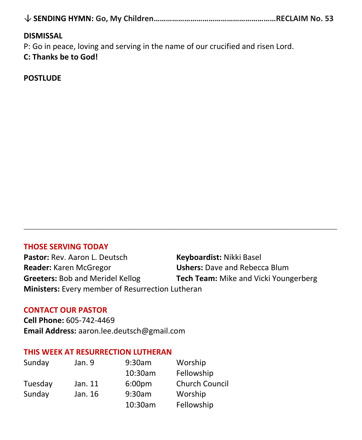|--|--|--|--|--|

#### **DISMISSAL**

P: Go in peace, loving and serving in the name of our crucified and risen Lord.

#### **C: Thanks be to God!**

**POSTLUDE**

#### **THOSE SERVING TODAY**

**Pastor:** Rev. Aaron L. Deutsch **Keyboardist:** Nikki Basel **Reader:** Karen McGregor **Ushers:** Dave and Rebecca Blum **Greeters:** Bob and Meridel Kellog **Tech Team:** Mike and Vicki Youngerberg **Ministers:** Every member of Resurrection Lutheran

**\_\_\_\_\_\_\_\_\_\_\_\_\_\_\_\_\_\_\_\_\_\_\_\_\_\_\_\_\_\_\_\_\_\_\_\_\_\_\_\_\_\_\_\_\_\_\_\_\_\_\_\_\_\_\_\_\_\_\_\_\_\_\_\_\_\_\_\_\_\_\_\_\_**

#### **CONTACT OUR PASTOR**

**Cell Phone:** 605-742-4469 **Email Address:** [aaron.lee.deutsch@gmail.com](mailto:aaron.lee.deutsch@gmail.com)

#### **THIS WEEK AT RESURRECTION LUTHERAN**

| Sunday  | Jan. 9  | 9:30am             | Worship               |
|---------|---------|--------------------|-----------------------|
|         |         | 10:30am            | Fellowship            |
| Tuesday | Jan. 11 | 6:00 <sub>pm</sub> | <b>Church Council</b> |
| Sunday  | Jan. 16 | 9:30am             | Worship               |
|         |         | 10:30am            | Fellowship            |